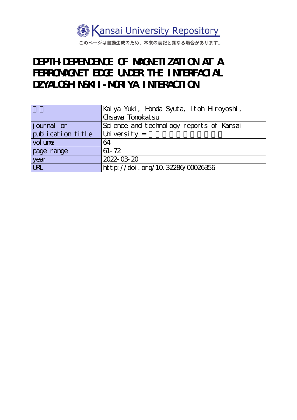

このページは自動生成のため、本来の表記と異なる場合があります。

# **DEPTH-DEPENDENCE OF MAGNETIZATION AT A** FERROMAGNET EDGE UNDER THE INTERFACIAL DZYALOSH NSKII - MORIYA I NTERACTION

|                    | Kai ya Yuki, Honda Syuta, Itoh Hroyoshi, |
|--------------------|------------------------------------------|
|                    | Chsava Tonokat su                        |
| <i>j</i> ournal or | Science and technology reports of Kansai |
| publication title  | University $=$                           |
| vol une            | 64                                       |
| page range         | $61 - 72$                                |
| year               | 2022-03-20                               |
| URL                | http://doi.org/10.32286/00026356         |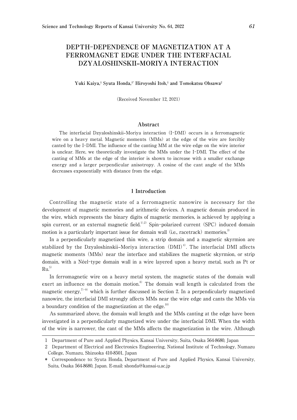# **DEPTH**-**DEPENDENCE OF MAGNETIZATION AT A FERROMAGNET EDGE UNDER THE INTERFACIAL DZYALOSHINSKII–MORIYA INTERACTION**

#### Yuki Kaiya,<sup>1</sup> Syuta Honda,<sup>1</sup><sup>\*</sup> Hiroyoshi Itoh,<sup>1</sup> and Tomokatsu Ohsawa<sup>2</sup>

(Received November 12, 2021)

#### **Abstract**

The interfacial Dzyaloshinskii–Moriya interaction (I-DMI) occurs in a ferromagnetic wire on a heavy metal. Magnetic moments (MMs) at the edge of the wire are forcibly canted by the I-DMI. The influence of the canting MM at the wire edge on the wire interior is unclear. Here, we theoretically investigate the MMs under the I-DMI. The effect of the canting of MMs at the edge of the interior is shown to increase with a smaller exchange energy and a larger perpendicular anisotropy. A cosine of the cant angle of the MMs decreases exponentially with distance from the edge.

#### 1 **Introduction**

Controlling the magnetic state of a ferromagnetic nanowire is necessary for the development of magnetic memories and arithmetic devices. A magnetic domain produced in the wire, which represents the binary digits of magnetic memories, is achieved by applying a spin current, or an external magnetic field.<sup>1),2)</sup> Spin-polarized current (SPC) induced domain motion is a particularly important issue for domain wall (i.e., racetrack) memories.<sup>3)</sup>

In a perpendicularly magnetized thin wire, a strip domain and a magnetic skyrmion are stabilized by the Dzyaloshinskii–Moriya interaction  $(DMI)^4$ . The interfacial DMI affects magnetic moments (MMs) near the interface and stabilizes the magnetic skyrmion, or strip domain, with a Néel-type domain wall in a wire layered upon a heavy metal, such as Pt or  $Ru<sup>5</sup>$ 

In ferromagnetic wire on a heavy metal system, the magnetic states of the domain wall exert an influence on the domain motion. $6$  The domain wall length is calculated from the magnetic energy,<sup> $7-9$ </sup> which is further discussed in Section 2. In a perpendicularly magnetized nanowire, the interfacial DMI strongly affects MMs near the wire edge and cants the MMs via a boundary condition of the magnetization at the edge. $10$ 

As summarized above, the domain wall length and the MMs canting at the edge have been investigated in a perpendicularly magnetized wire under the interfacial DMI. When the width of the wire is narrower, the cant of the MMs affects the magnetization in the wire. Although

<sup>1</sup> Department of Pure and Applied Physics, Kansai University, Suita, Osaka 564-8680, Japan

<sup>2</sup> Department of Electrical and Electronics Engineering, National Institute of Technology, Numazu College, Numazu, Shizuoka 410-8501, Japan

<sup>\*</sup> Correspondence to: Syuta Honda, Department of Pure and Applied Physics, Kansai University, Suita, Osaka 564-8680, Japan. E-mail: shonda@kansai-u.ac.jp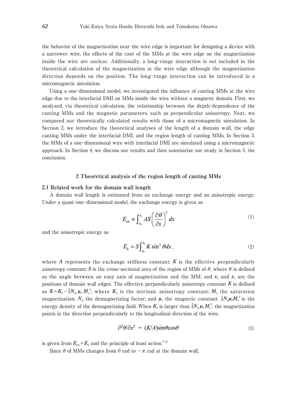the behavior of the magnetization near the wire edge is important for designing a device with a narrower wire, the effects of the cant of the MMs at the wire edge on the magnetization inside the wire are unclear. Additionally, a long-range interaction is not included in the theoretical calculation of the magnetization at the wire edge although the magnetization direction depends on the position. The long-range interaction can be introduced in a micromagnetic simulation.

Using a one-dimensional model, we investigated the influence of canting MMs at the wire edge due to the interfacial DMI on MMs inside the wire without a magnetic domain. First, we analyzed, via theoretical calculation, the relationship between the depth-dependence of the canting MMs and the magnetic parameters, such as perpendicular anisotropy. Next, we compared our theoretically calculated results with those of a micromagnetic simulation. In Section 2, we introduce the theoretical analyses of the length of a domain wall, the edge canting MMs under the interfacial DMI, and the region length of canting MMs. In Section 3, the MMs of a one-dimensional wire with interfacial DMI are simulated using a micromagnetic approach. In Section 4, we discuss our results and then summarize our study in Section 5, the conclusion.

#### 2 **Theoretical analysis of the region length of canting MMs**

# 2**.**1 **Related work for the domain wall length**

A domain wall length is estimated from an exchange energy and an anisotropic energy. Under a quasi-one-dimensional model, the exchange energy is given as

$$
E_{\text{ex}} \approx \int_{x_0}^{x_1} A S \left(\frac{\partial \theta}{\partial x}\right)^2 dx \tag{1}
$$

and the anisotropic energy as

$$
E_{k} = S \int_{x_0}^{x_1} K \sin^2 \theta dx
$$
\n<sup>(2)</sup>

where *A* represents the exchange stiffness constant;  $K$  is the effective perpendicularly anisotropy constant; S is the cross-sectional area of the region of MMs of  $\theta$ , where  $\theta$  is defined as the angle between an easy axis of magnetization and the MM; and  $x_0$  and  $x_1$  are the positions of domain wall edges. The effective perpendicularly anisotropy constant *K* is defined as  $K = K_0 - \frac{1}{2} N_d \mu_0 M_s^2$ , where  $K_0$  is the intrinsic anisotropy constant;  $M_s$  the saturation magnetization;  $N_d$  the demagnetizing factor; and  $\mu_0$  the magnetic constant.  $\frac{1}{2}N_d\mu_0M_s^2$  is the energy density of the demagnetizing field. When  $K_0$  is larger than  $\frac{1}{2}N_d\mu_0 M_s^2$ , the magnetization points in the direction perpendicularly to the longitudinal direction of the wire.

$$
\partial^2 \theta / \partial x^2 = (K/A)\sin\theta \cos\theta \tag{3}
$$

is given from  $E_{ex}+E_k$  and the principle of least action.<sup>7),8)</sup>

Since  $\theta$  of MMs changes from 0 rad to  $-\pi$  rad at the domain wall,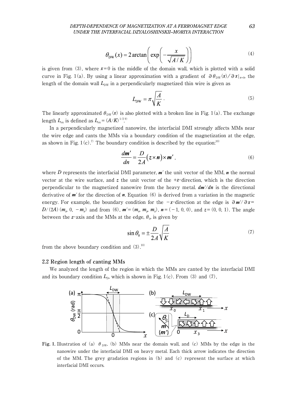## *DEPTH-DEPENDENCE OF MAGNETIZATION AT A FERROMAGNET EDGE 63 UNDER THE INTERFACIAL DZYALOSHINSKII–MORIYA INTERACTION*

$$
\theta_{\rm DW}(x) = 2 \arctan\left(\exp\left(-\frac{x}{\sqrt{A/K}}\right)\right) \tag{4}
$$

is given from (3), where  $x=0$  is the middle of the domain wall, which is plotted with a solid curve in Fig. 1(a). By using a linear approximation with a gradient of  $\partial \theta_{DW}(x)/\partial x|_{x=0}$ , the length of the domain wall  $L_{\text{DW}}$  in a perpendicularly magnetized thin wire is given as

$$
L_{\rm DW} = \pi \sqrt{\frac{A}{K}} \,. \tag{5}
$$

The linearly approximated  $\theta_{\text{DW}}(x)$  is also plotted with a broken line in Fig. 1(a). The exchange length  $L_{ex}$  is defined as  $L_{ex} = (A/K)^{1/2.9}$ . .

In a perpendicularly magnetized nanowire, the interfacial DMI strongly affects MMs near the wire edge and cants the MMs via a boundary condition of the magnetization at the edge, as shown in Fig. 1(c).<sup>7)</sup> The boundary condition is described by the equation:<sup>10)</sup>

$$
\frac{dm'}{dn} = \frac{D}{2A}(z \times n) \times m',\tag{6}
$$

where *D* represents the interfacial DMI parameter, *m'* the unit vector of the MM, *n* the normal vector at the wire surface, and *z* the unit vector of the +*z*-direction, which is the direction perpendicular to the magnetized nanowire from the heavy metal. *dm'*/*dn* is the directional derivative of *m'* for the direction of *n*. Equation (6) is derived from a variation in the magnetic energy. For example, the boundary condition for the -*x*-direction at the edge is ∂*m'*/∂*x*= *D*/(2*A*)( $m_z$ , 0,  $-m_x$ ) and from (6),  $m'=(m_x, m_y, m_z)$ ,  $n = (-1, 0, 0)$ , and  $z = (0, 0, 1)$ . The angle between the *z*-axis and the MMs at the edge,  $\theta_0$ , is given by

$$
\sin \theta_0 = \pm \frac{D}{2A} \sqrt{\frac{A}{K}} \tag{7}
$$

from the above boundary condition and  $(3)$ .<sup>10)</sup>

#### 2**.**2 **Region length of canting MMs**

We analyzed the length of the region in which the MMs are canted by the interfacial DMI and its boundary condition  $L_{\text{D}}$ , which is shown in Fig. 1(c). From (3) and (7),



**Fig. 1.** Illustration of (a)  $\theta_{DW}$ , (b) MMs near the domain wall, and (c) MMs by the edge in the nanowire under the interfacial DMI on heavy metal. Each thick arrow indicates the direction of the MM. The grey gradation regions in  $(b)$  and  $(c)$  represent the surface at which interfacial DMI occurs.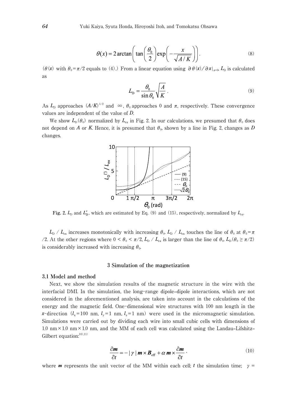$$
\theta(x) = 2 \arctan\left(\tan\left(\frac{\theta_0}{2}\right) \exp\left(-\frac{x}{\sqrt{A/K}}\right)\right).
$$
 (8)

( $\theta$ (*x*) with  $\theta_0 = \pi/2$  equals to (4).) From a linear equation using  $\partial \theta(x)/\partial x|_{x=0}$ , *L*<sub>D</sub> is calculated as

$$
L_{\rm D} = \frac{\theta_0}{\sin \theta_0} \sqrt{\frac{A}{K}} \,. \tag{9}
$$

As  $L_{\text{D}}$  approaches  $(A/K)^{1/2}$  and  $\infty$ ,  $\theta_0$  approaches 0 and  $\pi$ , respectively. These convergence values are independent of the value of *D*.

We show  $L_{\text{D}}(\theta_0)$  normalized by  $L_{\text{ex}}$  in Fig. 2. In our calculations, we presumed that  $\theta_0$  does not depend on *A* or *K*. Hence, it is presumed that  $\theta_0$ , shown by a line in Fig. 2, changes as *D* changes.



Fig. 2.  $L_{\text{D}}$  and  $L'_{\text{D}}$ , which are estimated by Eq. (9) and (15), respectively, normalized by  $L_{\text{ex}}$ .

 $L_{\rm D}$  /  $L_{\rm ex}$  increases monotonically with increasing  $\theta_{0}$ .  $L_{\rm D}$  /  $L_{\rm ex}$  touches the line of  $\theta_{0}$  at  $\theta_{0} = \pi$ /2. At the other regions where  $0 < \theta_0 < \pi/2$ ,  $L_D / L_{ex}$  is larger than the line of  $\theta_0$ ,  $L_D(\theta_0 \ge \pi/2)$ is considerably increased with increasing  $\theta_0$ .

#### 3 **Simulation of the magnetization**

#### 3**.**1 **Model and method**

Next, we show the simulation results of the magnetic structure in the wire with the interfacial DMI. In the simulation, the long-range dipole–dipole interactions, which are not considered in the aforementioned analysis, are taken into account in the calculations of the energy and the magnetic field. One-dimensional wire structures with 100 nm length in the *x*-direction ( $l_x$ =100 nm,  $l_y$ =1 nm,  $l_z$ =1 nm) were used in the micromagnetic simulation. Simulations were carried out by dividing each wire into small cubic cells with dimensions of 1.0 nm  $\times$  1.0 nm  $\times$  1.0 nm, and the MM of each cell was calculated using the Landau–Lifshitz– Gilbert equation: $10)$ ,11)

$$
\frac{\partial \mathbf{m}}{\partial t} = -\left|\gamma\right| \mathbf{m} \times \mathbf{B}_{\text{eff}} + \alpha \mathbf{m} \times \frac{\partial \mathbf{m}}{\partial t} \tag{10}
$$

where **m** represents the unit vector of the MM within each cell; *t* the simulation time;  $\gamma =$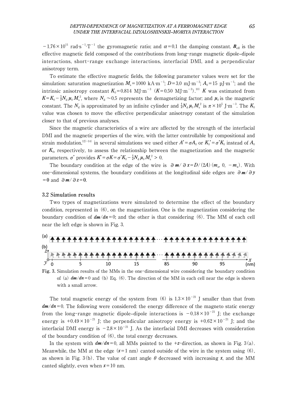$-1.76 \times 10^{11}$  rad⋅s<sup>-1</sup>⋅T<sup>-1</sup> the gyromagnetic ratio; and α=0.1 the damping constant. **B**<sub>eff</sub> is the effective magnetic field composed of the contributions from long-range magnetic dipole–dipole interactions, short-range exchange interactions, interfacial DMI, and a perpendicular anisotropy term.

To estimate the effective magnetic fields, the following parameter values were set for the simulation: saturation magnetization  $M_s = 1000 \text{ kA·m}^{-1}$ ;  $D = 3.0 \text{ mJ·m}^{-2}$ ;  $A_0 = 15 \text{ pJ·m}^{-1}$ ; and the intrinsic anisotropy constant  $K_0 = 0.814$  MJ⋅m<sup>-3</sup> ( $K = 0.50$  MJ⋅m<sup>-3</sup>).<sup>10)</sup> *K* was estimated from  $K = K_0 - \frac{1}{2} N_d \mu_0 M_s^2$ , where  $N_d \sim 0.5$  represents the demagnetizing factor; and  $\mu_0$  is the magnetic constant. The  $N_d$  is approximated by an infinite cylinder and  $\frac{1}{2}N_d \mu_0 M_s^2$  is  $\pi \times 10^5$  J⋅m<sup>-3</sup>. The  $K_0$ value was chosen to move the effective perpendicular anisotropy constant of the simulation closer to that of previous analyses.

Since the magnetic characteristics of a wire are affected by the strength of the interfacial DMI and the magnetic properties of the wire, with the latter controllable by compositional and strain modulation,<sup>12)-14)</sup> in several simulations we used either  $A' = \sigma A_0$  or  $K_0' = \sigma' K_0$  instead of  $A_0$ or  $K_0$ , respectively, to assess the relationship between the magnetization and the magnetic parameters. σ' provides  $K^{\prime} = \sigma K = \sigma^{\prime} K_0 - \frac{1}{2} N_{\rm d} \mu_0 M_{\rm s}^2 > 0$ .

The boundary condition at the edge of the wire is  $\partial m / \partial x = D/(2A)(m_x, 0, -m_y)$ . With one-dimensional systems, the boundary conditions at the longitudinal side edges are ∂*m*/∂*y* =0 and ∂*m*/∂*z*=0.

## 3**.**2 **Simulation results**

Two types of magnetizations were simulated to determine the effect of the boundary condition, represented in (6), on the magnetization. One is the magnetization considering the boundary condition of  $dm/dn=0$ ; and the other is that considering (6). The MM of each cell near the left edge is shown in Fig. 3.



**Fig.** 3**.** Simulation results of the MMs in the one-dimensional wire considering the boundary condition of (a)  $dm/dn=0$  and (b) Eq. (6). The direction of the MM in each cell near the edge is shown with a small arrow.

The total magnetic energy of the system from (6) is  $1.3 \times 10^{-21}$  J smaller than that from  $dm/dn=0$ . The following were considered: the energy difference of the magneto static energy from the long-range magnetic dipole–dipole interactions is  $-0.18 \times 10^{-21}$  J; the exchange energy is  $+0.49\times10^{-21}$  J; the perpendicular anisotropy energy is  $+0.62\times10^{-21}$  J; and the interfacial DMI energy is  $-2.8 \times 10^{-21}$  J. As the interfacial DMI decreases with consideration of the boundary condition of (6), the total energy decreases.

In the system with  $dm/dn=0$ , all MMs pointed to the +*z*-direction, as shown in Fig. 3(a). Meanwhile, the MM at the edge  $(x=1 \text{ nm})$  canted outside of the wire in the system using (6), as shown in Fig. 3(b). The value of cant angle  $\theta$  decreased with increasing x, and the MM canted slightly, even when  $x=10$  nm.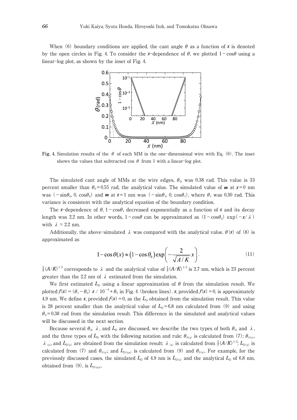When (6) boundary conditions are applied, the cant angle  $\theta$  as a function of *x* is denoted by the open circles in Fig. 4. To consider the *x*-dependence of  $\theta$ , we plotted  $1-\cos\theta$  using a linear-log plot, as shown by the inset of Fig. 4.



**Fig. 4.** Simulation results of the  $\theta$  of each MM in the one-dimensional wire with Eq. (6). The inset shows the values that subtracted cos  $\theta$  from 1 with a linear-log plot.

The simulated cant angle of MMs at the wire edges,  $\theta_0$ , was 0.38 rad. This value is 33 percent smaller than  $\theta_0 = 0.55$  rad, the analytical value. The simulated value of **m** at  $x=0$  nm was  $(-\sin\theta_0, 0, \cos\theta_0)$  and **m** at  $x=1$  nm was  $(-\sin\theta_1, 0, \cos\theta_1)$ , where  $\theta_1$  was 0.30 rad. This variance is consistent with the analytical equation of the boundary condition.

The *x*-dependence of  $\theta$ , 1-cos $\theta$ , decreased exponentially as a function of *x* and its decay length was 2.2 nm. In other words,  $1-\cos\theta$  can be approximated as  $(1-\cos\theta_0) \exp(-x/\lambda)$ with  $\lambda \approx 2.2$  nm.

Additionally, the above-simulated  $\lambda$  was compared with the analytical value.  $\theta(x)$  of (8) is approximated as

$$
1 - \cos \theta(x) \approx (1 - \cos \theta_0) \exp\left(-\frac{2}{\sqrt{A/K}}x\right).
$$
 (11)

 $\frac{1}{2}(A/K)^{1/2}$  corresponds to  $\lambda$  and the analytical value of  $\frac{1}{2}(A/K)^{1/2}$  is 2.7 nm, which is 23 percent greater than the 2.2 nm of  $\lambda$  estimated from the simulation.

We first estimated  $L<sub>D</sub>$  using a linear approximation of  $\theta$  from the simulation result. We plotted  $f(x) = (\theta_1 - \theta_0) x / 10^{-9} + \theta_0$  in Fig. 4 (broken lines). *x*, provided  $f(x) = 0$ , is approximately 4.9 nm. We define *x*, provided  $f(x) = 0$ , as the  $L<sub>D</sub>$  obtained from the simulation result. This value is 28 percent smaller than the analytical value of  $L_p = 6.8$  nm calculated from (9) and using  $\theta_0$ =0.38 rad from the simulation result. This difference in the simulated and analytical values will be discussed in the next section.

Because several  $\theta_0$ ,  $\lambda$ , and  $L_D$  are discussed, we describe the two types of both  $\theta_0$ , and  $\lambda$ , and the three types of  $L_D$  with the following notation and rule:  $\theta_{0(a)}$  is calculated from (7);  $\theta_{0(s)}$ ,  $\lambda$ <sub>(s)</sub>, and  $L_{D(s)}$  are obtained from the simulation result;  $\lambda$ <sub>(a)</sub> is calculated from  $\frac{1}{2}(A/K)^{1/2}$ ;  $L_{D(s)}$  is calculated from (7) and  $\theta_{0(a)}$ ; and  $L_{D(a,s)}$  is calculated from (9) and  $\theta_{0(s)}$ . For example, for the previously discussed cases, the simulated  $L<sub>D</sub>$  of 4.9 nm is  $L<sub>D(s)</sub>$  and the analytical  $L<sub>D</sub>$  of 6.8 nm, obtained from  $(9)$ , is  $L_{D(a,s)}$ .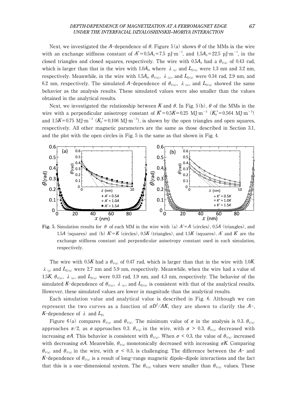## *DEPTH-DEPENDENCE OF MAGNETIZATION AT A FERROMAGNET EDGE 67 UNDER THE INTERFACIAL DZYALOSHINSKII–MORIYA INTERACTION*

Next, we investigated the *A*-dependence of  $\theta$ . Figure 5(a) shows  $\theta$  of the MMs in the wire with an exchange stiffness constant of  $A' = 0.5A_0 = 7.5$  pJ⋅m<sup>-1</sup>, and  $1.5A_0 = 22.5$  pJ⋅m<sup>-1</sup>, in the closed triangles and closed squares, respectively. The wire with  $0.5A_0$  had a  $\theta_{0(s)}$  of 0.43 rad, which is larger than that in the wire with 1.0 $A_0$ , where  $\lambda$ <sub>(s)</sub> and  $L_{D(s)}$  were 1.3 nm and 3.2 nm, respectively. Meanwhile, in the wire with 1.5 $A_0$ ,  $\theta_{0(s)}$ ,  $\lambda_{(s)}$ , and  $L_{D(s)}$  were 0.34 rad, 2.9 nm, and 6.2 nm, respectively. The simulated A-dependence of  $\theta_{0(s)}$ ,  $\lambda_{(s)}$ , and  $L_{D(s)}$  showed the same behavior as the analysis results. These simulated values were also smaller than the values obtained in the analytical results.

Next, we investigated the relationship between *K* and  $\theta$ . In Fig. 5(b),  $\theta$  of the MMs in the wire with a perpendicular anisotropy constant of  $K = 0.5K = 0.25$  MJ⋅m<sup>-3</sup> ( $K_0$ <sup>+</sup>=0.564 MJ⋅m<sup>-3</sup>) and  $1.5K=0.75$  MJ⋅m<sup>-3</sup> ( $K_0^{\prime}=0.106$  MJ⋅m<sup>-3</sup>), is shown by the open triangles and open squares, respectively. All other magnetic parameters are the same as those described in Section 3.1, and the plot with the open circles in Fig. 5 is the same as that shown in Fig. 4.



**Fig. 5.** Simulation results for  $\theta$  of each MM in the wire with (a)  $A' = A$  (circles), 0.5*A* (triangles), and 1.5*A* (squares) and (b) *K'*=*K* (circles), 0.5*K* (triangles), and 1.5*K* (squares). *A*' and *K*' are the exchange stiffness constant and perpendicular anisotropy constant used in each simulation, respectively.

The wire with 0.5*K* had a  $\theta_{0(s)}$  of 0.47 rad, which is larger than that in the wire with 1.0*K*.  $\lambda$ <sub>(s)</sub> and  $L_{D(s)}$  were 2.7 nm and 5.9 nm, respectively. Meanwhile, when the wire had a value of 1.5*K*,  $\theta_{0(s)}$ ,  $\lambda_{(s)}$ , and  $L_{D(s)}$  were 0.33 rad, 1.9 nm, and 4.3 nm, respectively. The behavior of the simulated *K*-dependence of  $\theta_{0(s)}$ ,  $\lambda_{(s)}$ , and  $L_{D(s)}$  is consistent with that of the analytical results. However, these simulated values are lower in magnitude than the analytical results.

Each simulation value and analytical value is described in Fig. 6. Although we can represent the two curves as a function of  $\sigma D^2/AK$ , they are shown to clarify the *A*-, *K*-dependence of  $\lambda$  and  $L_{\text{D}}$ .

Figure 6(a) compares  $\theta_{0}$  and  $\theta_{0}$  (s). The minimum value of  $\sigma$  in the analysis is 0.3.  $\theta_{0}$  (a) approaches  $\pi/2$ , as  $\sigma$  approaches 0.3.  $\theta_{0(s)}$  in the wire, with  $\sigma > 0.3$ ,  $\theta_{0(s)}$  decreased with increasing  $\sigma A$ . This behavior is consistent with  $\theta_{0(a)}$ . When  $\sigma < 0.3$ , the value of  $\theta_{0(s)}$  increased with decreasing  $\sigma A$ . Meanwhile,  $\theta_{0(s)}$  monotonically decreased with increasing  $\sigma K$ . Comparing  $\theta_{0(s)}$  and  $\theta_{0(s)}$  in the wire, with  $\sigma < 0.3$ , is challenging. The difference between the A- and *K*-dependence of  $\theta_{0(s)}$  is a result of long-range magnetic dipole-dipole interactions and the fact that this is a one-dimensional system. The  $\theta_{0(s)}$  values were smaller than  $\theta_{0(s)}$  values. These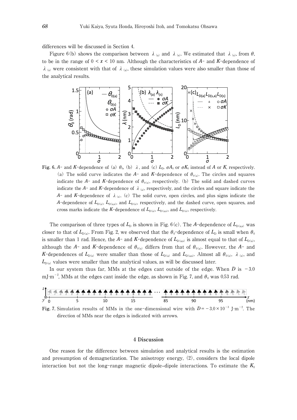differences will be discussed in Section 4.

Figure 6(b) shows the comparison between  $\lambda_{(a)}$  and  $\lambda_{(s)}$ . We estimated that  $\lambda_{(s)}$ , from  $\theta$ , to be in the range of  $0 \le x \le 10$  nm. Although the characteristics of  $A$ - and  $K$ -dependence of  $\lambda$ <sub>(s)</sub> were consistent with that of  $\lambda$ <sub>(a)</sub>, these simulation values were also smaller than those of the analytical results.



**Fig. 6.** *A*- and *K*-dependence of (a)  $\theta_0$ , (b)  $\lambda$ , and (c)  $L_p$ ,  $\sigma A_0$  or  $\sigma K_0$  instead of *A* or *K*, respectively. (a) The solid curve indicates the  $A$ - and  $K$ -dependence of  $\theta_{0(a)}$ . The circles and squares indicate the  $A$ - and  $K$ -dependence of  $\theta_{0(s)}$ , respectively. (b) The solid and dashed curves indicate the  $A^-$  and  $K^-$ -dependence of  $\lambda_{(a)}$ , respectively, and the circles and square indicate the *A*- and *K*-dependence of  $\lambda$ <sub>(s)</sub>. (c) The solid curve, open circles, and plus signs indicate the *A*-dependence of  $L_{D(a)}$ ,  $L_{D(a,s)}$ , and  $L_{D(s)}$ , respectively, and the dashed curve, open squares, and cross marks indicate the *K*-dependence of  $L_{D(a)}$ ,  $L_{D(a,s)}$ , and  $L_{D(s)}$ , respectively.

The comparison of three types of  $L<sub>D</sub>$  is shown in Fig. 6(c). The *A*-dependence of  $L<sub>D(a,s)</sub>$  was closer to that of  $L_{D(a)}$ . From Fig. 2, we observed that the  $\theta_0$ -dependence of  $L_D$  is small when  $\theta_0$ is smaller than 1 rad. Hence, the *A*- and *K*-dependence of  $L_{D(as)}$  is almost equal to that of  $L_{D(a)}$ , although the *A*- and *K*-dependence of  $\theta_{0(s)}$  differs from that of  $\theta_{0(s)}$ . However, the *A*- and *K*-dependences of  $L_{D(s)}$  were smaller than those of  $L_{D(s)}$  and  $L_{D(s,s)}$ . Almost all  $\theta_{O(s)}$ ,  $\lambda_{(s)}$ , and  $L_{D(s)}$  values were smaller than the analytical values, as will be discussed later.

In our system thus far, MMs at the edges cant outside of the edge. When  $D$  is  $-3.0$ mJ∙m<sup>-2</sup>, MMs at the edges cant inside the edge, as shown in Fig. 7, and  $\theta_0$  was 0.53 rad.



Fig. 7. Simulation results of MMs in the one-dimensional wire with  $D = -3.0 \times 10^{-3}$  J⋅m<sup>-2</sup>. The direction of MMs near the edges is indicated with arrows.

#### 4 **Discussion**

One reason for the difference between simulation and analytical results is the estimation and presumption of demagnetization. The anisotropy energy, (2), considers the local dipole interaction but not the long-range magnetic dipole–dipole interactions. To estimate the  $K_0$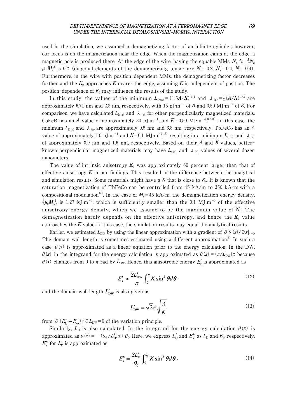used in the simulation, we assumed a demagnetizing factor of an infinite cylinder; however, our focus is on the magnetization near the edge. When the magnetization cants at the edge, a magnetic pole is produced there. At the edge of the wire, having the equable MMs,  $N_d$  for  $\frac{1}{2}N_d$  $\mu_0 M_s^2$  is 0.2 (diagonal elements of the demagnetizing tensor are  $N_x=0.2$ ,  $N_y=0.4$ ,  $N_z=0.4$ ). Furthermore, in the wire with position-dependent MMs, the demagnetizing factor decreases further and the  $K_0$  approaches K nearer the edge, assuming K is independent of position. The position-dependence of  $K_0$  may influence the results of the study.

In this study, the values of the minimum  $L_{D(a)} = (1.5A/K)^{1/2}$  and  $\lambda_{(a)} = \frac{1}{2}(A/K)^{1/2}$  are approximately 6.71 nm and 2.8 nm, respectively, with 15 pJ⋅m<sup>-1</sup> of *A* and 0.50 MJ⋅m<sup>-3</sup> of *K*. For comparison, we have calculated  $L_{D(a)}$  and  $\lambda_{(a)}$  for other perpendicularly magnetized materials. CoFeB has an *A* value of approximately 30 pJ⋅m<sup>-1</sup> and  $K=0.50$  MJ⋅m<sup>-3</sup>.<sup>15),16)</sup> In this case, the . minimum  $L_{D(a)}$  and  $\lambda_{(a)}$  are approximately 9.5 nm and 3.8 nm, respectively. TbFeCo has an *A* value of approximately 1.0 pJ⋅m<sup>-1</sup> and K=0.1 MJ⋅m<sup>-3</sup>,<sup>77</sup> resulting in a minimum  $L_{D(a)}$  and  $\lambda_{(a)}$ , of approximately 3.9 nm and 1.6 nm, respectively. Based on their *A* and *K* values, betterknown perpendicular magnetized materials may have  $L_{d(a)}$  and  $\lambda_{(a)}$  values of several dozen nanometers.

The value of intrinsic anisotropy  $K_0$  was approximately 60 percent larger than that of effective anisotropy  $K$  in our findings. This resulted in the difference between the analytical and simulation results. Some materials might have a  $K$  that is close to  $K_0$ . It is known that the saturation magnetization of TbFeCo can be controlled from 45 kA/m to 350 kA/m with a compositional modulation<sup>17)</sup>. In the case of  $M_s$ =45 kA/m, the demagnetization energy density,  $\frac{1}{2}\mu_0 M_s^2$ , is 1.27 kJ⋅m<sup>-3</sup>, which is sufficiently smaller than the 0.1 MJ⋅m<sup>-3</sup> of the effective anisotropy energy density, which we assume to be the maximum value of  $N_d$ . The demagnetization hardly depends on the effective anisotropy, and hence the  $K_0$  value approaches the  $K$  value. In this case, the simulation results may equal the analytical results.

Earlier, we estimated  $L_{DW}$  by using the linear approximation with a gradient of ∂ $\theta(x)/\partial x|_{x=0}$ . The domain wall length is sometimes estimated using a different approximation.<sup>8)</sup> In such a case,  $\theta(x)$  is approximated as a linear equation prior to the energy calculation. In the DW,  $\theta(x)$  in the integrand for the energy calculation is approximated as  $\theta(x) = (\pi/L_{DW})x$  because  $\theta(x)$  changes from 0 to  $\pi$  rad by  $L_{\text{DW}}$ . Hence, this anisotropic energy  $E'_{k}$  is approximated as

$$
E'_{k} \approx \frac{SL'_{DW}}{\pi} \int_0^{\pi} K \sin^2 \theta d\theta \tag{12}
$$

and the domain wall length  $L'_{\text{DW}}$  is also given as

$$
L'_{\text{DW}} = \sqrt{2}\pi \sqrt{\frac{A}{K}}\tag{13}
$$

from  $\partial (E'_k + E_{ex}) / \partial L_{DW} = 0$  of the variation principle.

Similarly,  $L<sub>D</sub>$  is also calculated. In the integrand for the energy calculation  $\theta(x)$  is approximated as  $\theta(x) = -(\theta_0 / L_D') x + \theta_0$ . Here, we express  $L_D'$  and  $E_k''$  as  $L_D$  and  $E_k$ , respectively.  $E''_k$  for  $L'_D$  is approximated as

$$
E_{\rm k}^{\prime\prime} = \frac{SL_{\rm D}^{\prime}}{\theta_0} \int_0^{\theta_0} K \sin^2 \theta d\theta \tag{14}
$$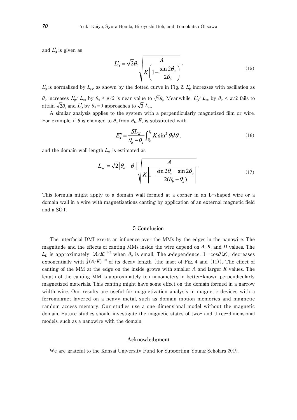and  $L'_D$  is given as

$$
L'_{\rm D} = \sqrt{2}\theta_0 \sqrt{\frac{A}{K \left(1 - \frac{\sin 2\theta_0}{2\theta_0}\right)}}.
$$
\n(15)

 $L'_{\rm D}$  is normalized by  $L_{\rm ex}$ , as shown by the dotted curve in Fig. 2.  $L'_{\rm D}$  increases with oscillation as  $\theta_0$  increases  $L'_{\rm p}$   $L_{\rm ex}$  by  $\theta_0 \ge \pi/2$  is near value to  $\sqrt{2}\theta_{\rm o}$ . Meanwhile,  $L'_{\rm p}$   $L_{\rm ex}$  by  $\theta_0 < \pi/2$  fails to attain  $\sqrt{2}\theta_0$  and  $L'_{\rm D}$  by  $\theta_0=0$  approaches to  $\sqrt{3} L_{\rm ex}$ .

A similar analysis applies to the system with a perpendicularly magnetized film or wire. For example, if  $\theta$  is changed to  $\theta_a$  from  $\theta_b$ ,  $E_k$  is substituted with

$$
E''_{\mathbf{k}} = \frac{SL_{\mathbf{W}}}{\theta_b - \theta_a} \int_{\theta_a}^{\theta_b} K \sin^2 \theta d\theta \,, \tag{16}
$$

and the domain wall length  $L<sub>W</sub>$  is estimated as

$$
L_{\rm w} = \sqrt{2} \left| \theta_b - \theta_a \right| \sqrt{K \left| 1 - \frac{\sin 2\theta_b - \sin 2\theta_a}{2(\theta_b - \theta_a)} \right|} \,. \tag{17}
$$

This formula might apply to a domain wall formed at a corner in an L-shaped wire or a domain wall in a wire with magnetizations canting by application of an external magnetic field and a SOT.

## 5 **Conclusion**

The interfacial DMI exerts an influence over the MMs by the edges in the nanowire. The magnitude and the effects of canting MMs inside the wire depend on *A*, *K*, and *D* values. The *L*<sub>D</sub> is approximately  $(A/K)^{1/2}$  when  $\theta_0$  is small. The *x*-dependence,  $1-\cos\theta(x)$ , decreases exponentially with  $\frac{1}{2}(A/K)^{1/2}$  of its decay length (the inset of Fig. 4 and (11)). The effect of canting of the MM at the edge on the inside grows with smaller *A* and larger *K* values. The length of the canting MM is approximately ten nanometers in better-known perpendicularly magnetized materials. This canting might have some effect on the domain formed in a narrow width wire. Our results are useful for magnetization analysis in magnetic devices with a ferromagnet layered on a heavy metal, such as domain motion memories and magnetic random access memory. Our studies use a one-dimensional model without the magnetic domain. Future studies should investigate the magnetic states of two- and three-dimensional models, such as a nanowire with the domain.

#### **Acknowledgment**

We are grateful to the Kansai University Fund for Supporting Young Scholars 2019.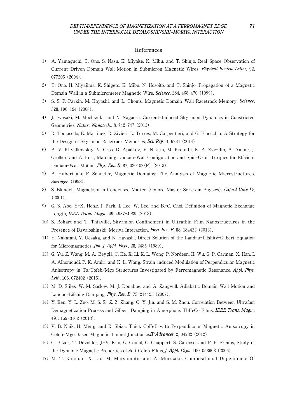#### **References**

- 1) A. Yamaguchi, T. Ono, S. Nasu, K. Miyake, K. Mibu, and T. Shinjo, Real-Space Observation of Current-Driven Domain Wall Motion in Submicron Magnetic Wires, *Physical Review Letter*, 92, 077205 (2004).
- 2) T. Ono, H. Miyajima, K. Shigeto, K. Mibu, N. Hosoito, and T. Shinjo, Propagation of a Magnetic Domain Wall in a Submicrometer Magnetic Wire, *Science*, 284, 468-470 (1999).
- 3) S. S. P. Parkin, M. Hayashi, and L. Thoms, Magnetic Domain-Wall Racetrack Memory, *Science*, 320, 190-194 (2008).
- 4) J. Iwasaki, M. Mochizuki, and N. Nagaosa, Current-Induced Skyrmion Dynamics in Constricted Geometries, *Nature Nanotech.*, 8, 742-747 (2013).
- 5) R. Tomasello, E. Martinez, R. Zivieri, L. Torres, M. Carpentieri, and G. Finocchio, A Strategy for the Design of Skyrmion Racetrack Memories, *Sci. Rep*., 4, 6784 (2014).
- 6) A. V. Khvalkovskiy, V. Cros, D. Apalkov, V. Nikitin, M. Krounbi, K. A. Zvezdin, A. Anane, J. Grollier, and A. Fert, Matching Domain-Wall Configuration and Spin-Orbit Torques for Efficient Domain-Wall Motion, *Phys. Rev. B*, 87, 020402(R) (2013).
- 7) A. Hubert and R. Schaefer, Magnetic Domains: The Analysis of Magnetic Microstructures, *Springer*, (1998).
- 8) S. Blundell, Magnetism in Condensed Matter (Oxford Master Series in Physics), *Oxford Univ Pr*,  $(2001)$ .
- 9) G. S. Abo, Y-Ki Hong, J. Park, J. Lee, W. Lee, and B.-C. Choi, Definition of Magnetic Exchange Length, *IEEE Trans. Magn*., 49, 4937-4939 (2013).
- 10) S. Rohart and T. Thiaville, Skyrmion Confinement in Ultrathin Film Nanostructures in the Presence of Dzyaloshinskii-Moriya Interaction, *Phys. Rev. B*, 88, 184422 (2013).
- 11) Y. Nakatani, Y. Uesaka, and N. Hayashi, Direct Solution of the Landau-Lifshitz-Gilbert Equation for Micromagnetics, *Jpn. J. Appl. Phys.*, 28, 2485 (1989).
- 12) G. Yu, Z. Wang, M. A.-Beygi1, C. He, X. Li, K. L. Wong, P. Nordeen, H. Wu, G. P. Carman, X. Han, I. A. Alhomoudi, P. K. Amiri, and K. L. Wang, Strain-induced Modulation of Perpendicular Magnetic Anisotropy in Ta/Cofeb/Mgo Structures Investigated by Ferromagnetic Resonance, *Appl. Phys. Lett.*, 106, 072402 (2015).
- 13) M. D. Stiles, W. M. Saslow, M. J. Donahue, and A. Zangwill, Adiabatic Domain Wall Motion and Landau-Lifshitz Damping, *Phys. Rev. B*, 75, 214423 (2007).
- 14) Y. Ren, Y. L. Zuo, M. S. Si, Z. Z. Zhang, Q. Y. Jin, and S. M. Zhou, Correlation Between Ultrafast Demagnetization Process and Gilbert Damping in Amorphous TbFeCo Films, *IEEE Trans. Magn.*, 49, 3159-3162 (2013).
- 15) V. B. Naik, H. Meng, and R. Sbiaa, Thick CoFeB with Perpendicular Magnetic Anisotropy in Cofeb-Mgo Based Magnetic Tunnel Junction, *AIP Advances*, 2, 04282 (2012).
- 16) C. Bilzer, T. Devolder, J.-V. Kim, G. Counil, C. Chappert, S. Cardoso, and P. P. Freitas, Study of the Dynamic Magnetic Properties of Soft Cofeb Films, *J. Appl. Phys.*, 100, 053903 (2006).
- 17) M. T. Rahman, X. Liu, M. Matsumoto, and A. Morisako, Compositional Dependence Of